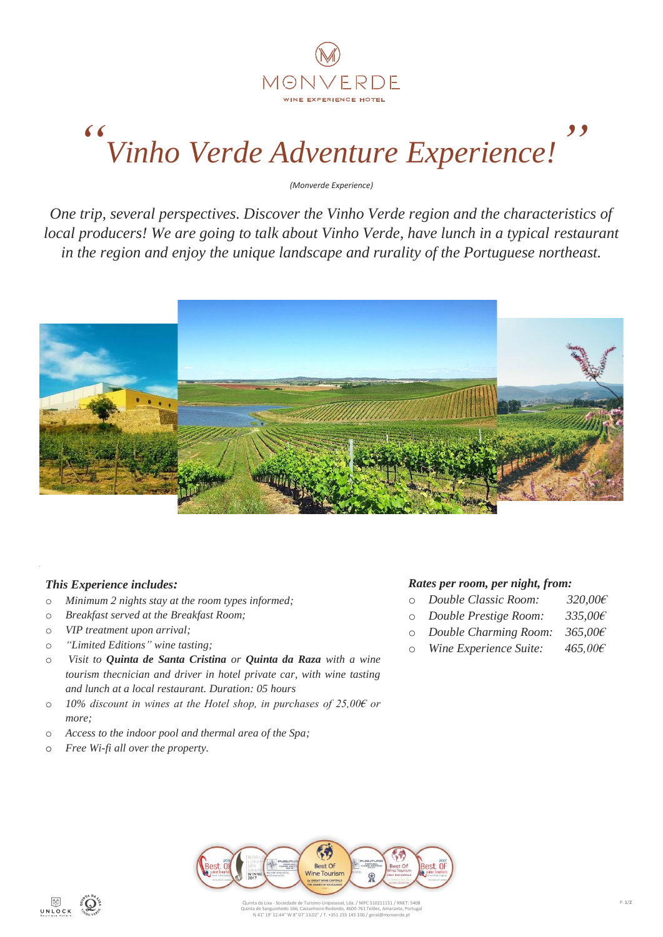

## *" Vinho Verde Adventure Experience! "*

*(Monverde Experience)*

*One trip, several perspectives. Discover the Vinho Verde region and the characteristics of local producers! We are going to talk about Vinho Verde, have lunch in a typical restaurant in the region and enjoy the unique landscape and rurality of the Portuguese northeast.*



## *This Experience includes:*

- o *Minimum 2 nights stay at the room types informed;*
- o *Breakfast served at the Breakfast Room;*
- o *VIP treatment upon arrival;*
- o *"Limited Editions" wine tasting;*
- o *Visit to Quinta de Santa Cristina or Quinta da Raza with a wine tourism thecnician and driver in hotel private car, with wine tasting and lunch at a local restaurant. Duration: 05 hours*
- o *10% discount in wines at the Hotel shop, in purchases of 25,00€ or more;*
- o *Access to the indoor pool and thermal area of the Spa;*
- o *Free Wi-fi all over the property.*

### *Rates per room, per night, from:*

- o *Double Classic Room: 320,00€*
- o *Double Prestige Room: 335,00€*
- o *Double Charming Room: 365,00€*
- o *Wine Experience Suite: 465,00€*